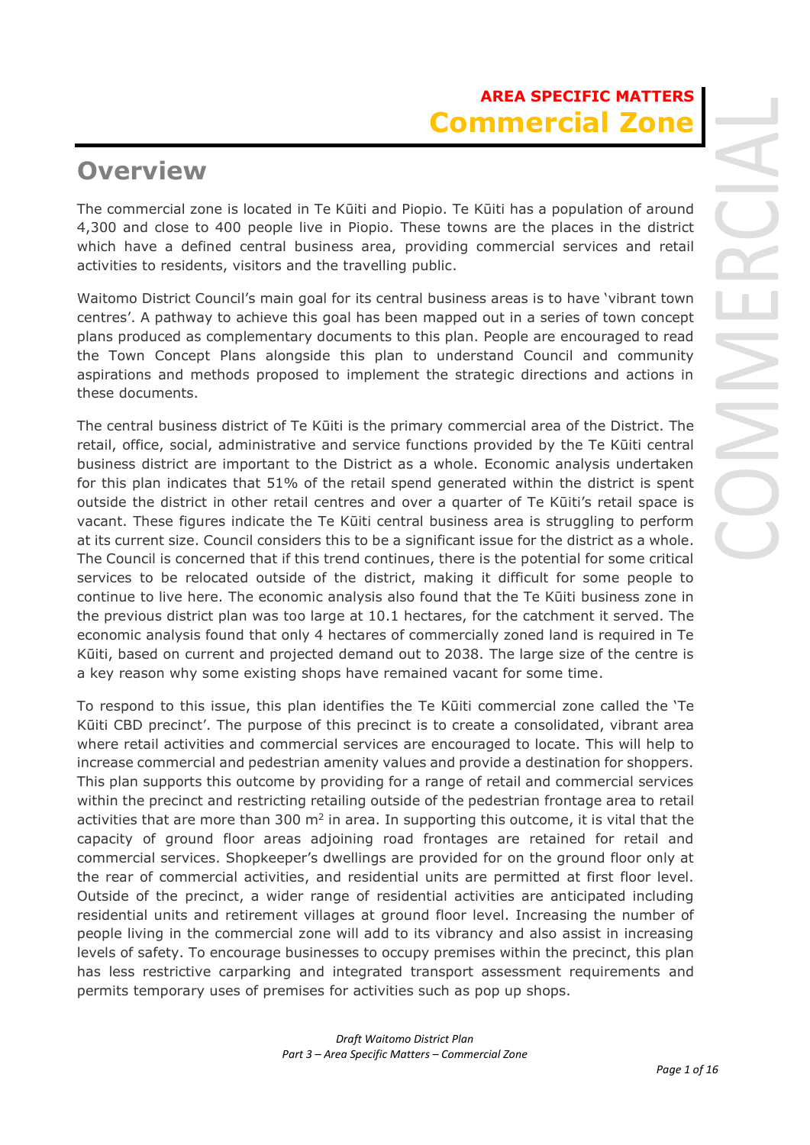# **AREA SPECIFIC MATTERS Commercial Zone**

# **Overview**

The commercial zone is located in Te Kūiti and Piopio. Te Kūiti has a population of around 4,300 and close to 400 people live in Piopio. These towns are the places in the district which have a defined central business area, providing commercial services and retail activities to residents, visitors and the travelling public.

Waitomo District Council's main goal for its central business areas is to have 'vibrant town centres'. A pathway to achieve this goal has been mapped out in a series of town concept plans produced as complementary documents to this plan. People are encouraged to read the Town Concept Plans alongside this plan to understand Council and community aspirations and methods proposed to implement the strategic directions and actions in these documents.

The central business district of Te Kūiti is the primary commercial area of the District. The retail, office, social, administrative and service functions provided by the Te Kūiti central business district are important to the District as a whole. Economic analysis undertaken for this plan indicates that 51% of the retail spend generated within the district is spent outside the district in other retail centres and over a quarter of Te Kūiti's retail space is vacant. These figures indicate the Te Kūiti central business area is struggling to perform at its current size. Council considers this to be a significant issue for the district as a whole. The Council is concerned that if this trend continues, there is the potential for some critical services to be relocated outside of the district, making it difficult for some people to continue to live here. The economic analysis also found that the Te Kūiti business zone in the previous district plan was too large at 10.1 hectares, for the catchment it served. The economic analysis found that only 4 hectares of commercially zoned land is required in Te Kūiti, based on current and projected demand out to 2038. The large size of the centre is a key reason why some existing shops have remained vacant for some time.

To respond to this issue, this plan identifies the Te Kūiti commercial zone called the 'Te Kūiti CBD precinct'. The purpose of this precinct is to create a consolidated, vibrant area where retail activities and commercial services are encouraged to locate. This will help to increase commercial and pedestrian amenity values and provide a destination for shoppers. This plan supports this outcome by providing for a range of retail and commercial services within the precinct and restricting retailing outside of the pedestrian frontage area to retail activities that are more than 300  $m<sup>2</sup>$  in area. In supporting this outcome, it is vital that the capacity of ground floor areas adjoining road frontages are retained for retail and commercial services. Shopkeeper's dwellings are provided for on the ground floor only at the rear of commercial activities, and residential units are permitted at first floor level. Outside of the precinct, a wider range of residential activities are anticipated including residential units and retirement villages at ground floor level. Increasing the number of people living in the commercial zone will add to its vibrancy and also assist in increasing levels of safety. To encourage businesses to occupy premises within the precinct, this plan has less restrictive carparking and integrated transport assessment requirements and permits temporary uses of premises for activities such as pop up shops.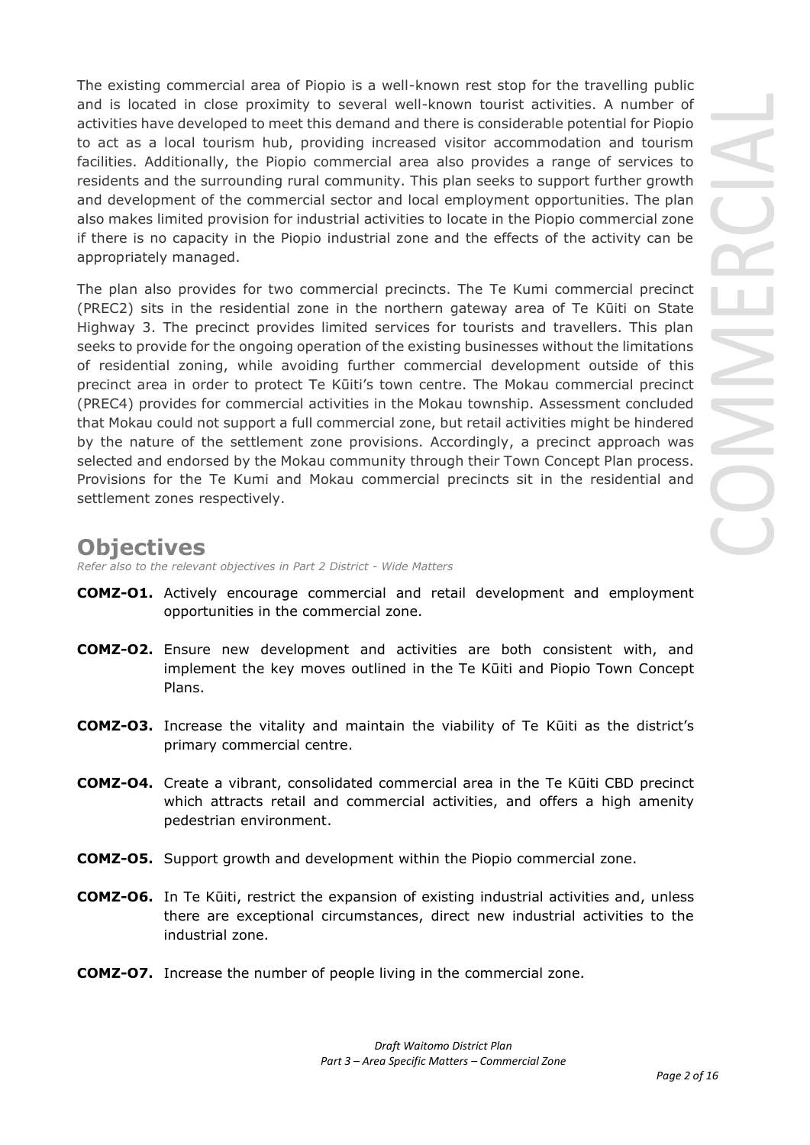The existing commercial area of Piopio is a well-known rest stop for the travelling public and is located in close proximity to several well-known tourist activities. A number of activities have developed to meet this demand and there is considerable potential for Piopio to act as a local tourism hub, providing increased visitor accommodation and tourism facilities. Additionally, the Piopio commercial area also provides a range of services to residents and the surrounding rural community. This plan seeks to support further growth and development of the commercial sector and local employment opportunities. The plan also makes limited provision for industrial activities to locate in the Piopio commercial zone if there is no capacity in the Piopio industrial zone and the effects of the activity can be appropriately managed.

The plan also provides for two commercial precincts. The Te Kumi commercial precinct (PREC2) sits in the residential zone in the northern gateway area of Te Kūiti on State Highway 3. The precinct provides limited services for tourists and travellers. This plan seeks to provide for the ongoing operation of the existing businesses without the limitations of residential zoning, while avoiding further commercial development outside of this precinct area in order to protect Te Kūiti's town centre. The Mokau commercial precinct (PREC4) provides for commercial activities in the Mokau township. Assessment concluded that Mokau could not support a full commercial zone, but retail activities might be hindered by the nature of the settlement zone provisions. Accordingly, a precinct approach was selected and endorsed by the Mokau community through their Town Concept Plan process. Provisions for the Te Kumi and Mokau commercial precincts sit in the residential and settlement zones respectively.

# **Objectives**

*Refer also to the relevant objectives in Part 2 District - Wide Matters* 

- **COMZ-O1.** Actively encourage commercial and retail development and employment opportunities in the commercial zone.
- **COMZ-O2.** Ensure new development and activities are both consistent with, and implement the key moves outlined in the Te Kūiti and Piopio Town Concept Plans.
- **COMZ-O3.** Increase the vitality and maintain the viability of Te Kūiti as the district's primary commercial centre.
- **COMZ-O4.** Create a vibrant, consolidated commercial area in the Te Kūiti CBD precinct which attracts retail and commercial activities, and offers a high amenity pedestrian environment.
- **COMZ-O5.** Support growth and development within the Piopio commercial zone.
- **COMZ-O6.** In Te Kūiti, restrict the expansion of existing industrial activities and, unless there are exceptional circumstances, direct new industrial activities to the industrial zone.
- **COMZ-O7.** Increase the number of people living in the commercial zone.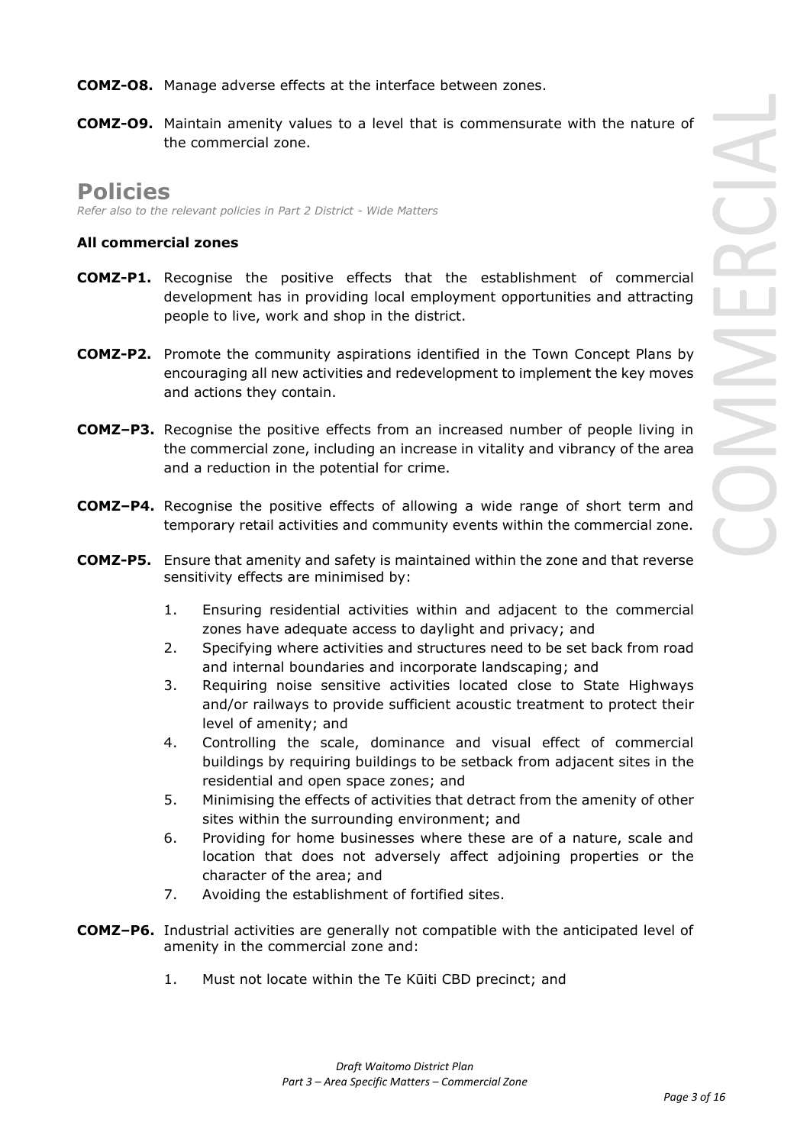**COMZ-O9.** Maintain amenity values to a level that is commensurate with the nature of the commercial zone.

# **Policies**

*Refer also to the relevant policies in Part 2 District - Wide Matters* 

# **All commercial zones**

- **COMZ-P1.** Recognise the positive effects that the establishment of commercial development has in providing local employment opportunities and attracting people to live, work and shop in the district.
- **COMZ-P2.** Promote the community aspirations identified in the Town Concept Plans by encouraging all new activities and redevelopment to implement the key moves and actions they contain.
- **COMZ–P3.** Recognise the positive effects from an increased number of people living in the commercial zone, including an increase in vitality and vibrancy of the area and a reduction in the potential for crime.
- **COMZ–P4.** Recognise the positive effects of allowing a wide range of short term and temporary retail activities and community events within the commercial zone.
- **COMZ-P5.** Ensure that amenity and safety is maintained within the zone and that reverse sensitivity effects are minimised by:
	- 1. Ensuring residential activities within and adjacent to the commercial zones have adequate access to daylight and privacy; and
	- 2. Specifying where activities and structures need to be set back from road and internal boundaries and incorporate landscaping; and
	- 3. Requiring noise sensitive activities located close to State Highways and/or railways to provide sufficient acoustic treatment to protect their level of amenity; and
	- 4. Controlling the scale, dominance and visual effect of commercial buildings by requiring buildings to be setback from adjacent sites in the residential and open space zones; and
	- 5. Minimising the effects of activities that detract from the amenity of other sites within the surrounding environment; and
	- 6. Providing for home businesses where these are of a nature, scale and location that does not adversely affect adjoining properties or the character of the area; and
	- 7. Avoiding the establishment of fortified sites.
- **COMZ–P6.** Industrial activities are generally not compatible with the anticipated level of amenity in the commercial zone and:
	- 1. Must not locate within the Te Kūiti CBD precinct; and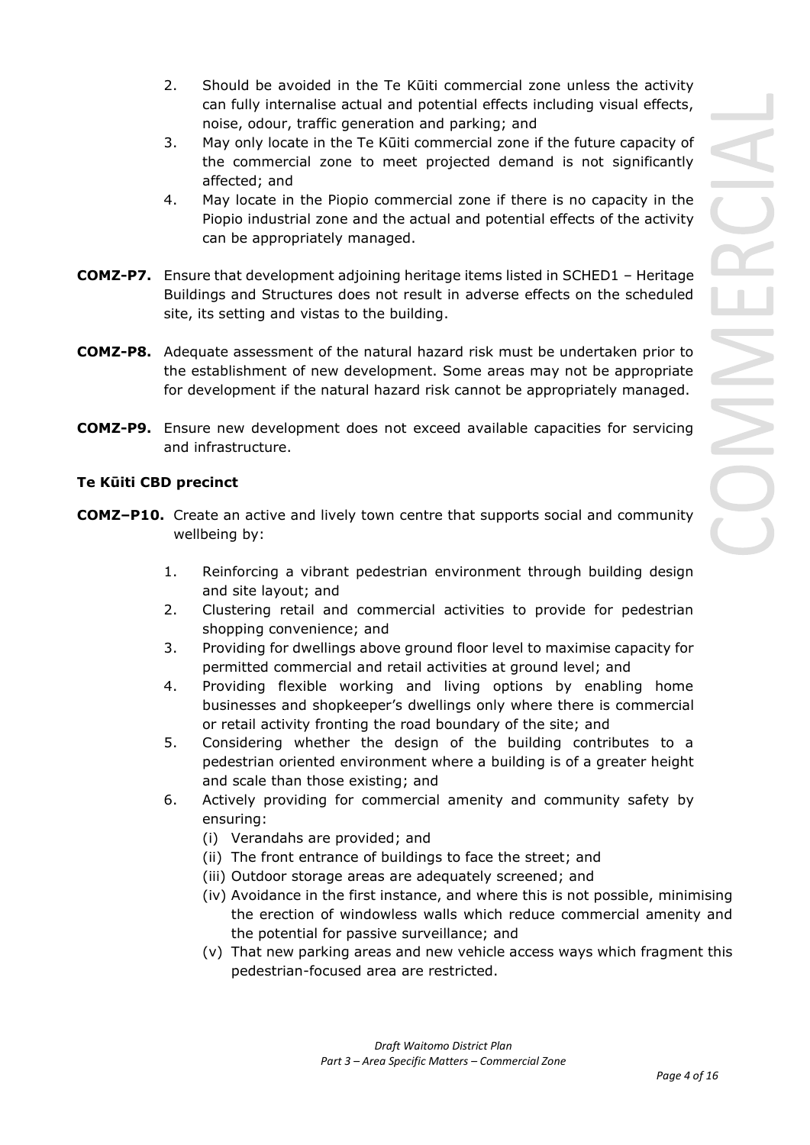- 2. Should be avoided in the Te Kūiti commercial zone unless the activity can fully internalise actual and potential effects including visual effects, noise, odour, traffic generation and parking; and
- 3. May only locate in the Te Kūiti commercial zone if the future capacity of the commercial zone to meet projected demand is not significantly affected; and
- 4. May locate in the Piopio commercial zone if there is no capacity in the Piopio industrial zone and the actual and potential effects of the activity can be appropriately managed.
- **COMZ-P7.** Ensure that development adjoining heritage items listed in SCHED1 Heritage Buildings and Structures does not result in adverse effects on the scheduled site, its setting and vistas to the building.
- **COMZ-P8.** Adequate assessment of the natural hazard risk must be undertaken prior to the establishment of new development. Some areas may not be appropriate for development if the natural hazard risk cannot be appropriately managed.
- **COMZ-P9.** Ensure new development does not exceed available capacities for servicing and infrastructure.

## **Te Kūiti CBD precinct**

- **COMZ–P10.** Create an active and lively town centre that supports social and community wellbeing by:
	- 1. Reinforcing a vibrant pedestrian environment through building design and site layout; and
	- 2. Clustering retail and commercial activities to provide for pedestrian shopping convenience; and
	- 3. Providing for dwellings above ground floor level to maximise capacity for permitted commercial and retail activities at ground level; and
	- 4. Providing flexible working and living options by enabling home businesses and shopkeeper's dwellings only where there is commercial or retail activity fronting the road boundary of the site; and
	- 5. Considering whether the design of the building contributes to a pedestrian oriented environment where a building is of a greater height and scale than those existing; and
	- 6. Actively providing for commercial amenity and community safety by ensuring:
		- (i) Verandahs are provided; and
		- (ii) The front entrance of buildings to face the street; and
		- (iii) Outdoor storage areas are adequately screened; and
		- (iv) Avoidance in the first instance, and where this is not possible, minimising the erection of windowless walls which reduce commercial amenity and the potential for passive surveillance; and
		- (v) That new parking areas and new vehicle access ways which fragment this pedestrian-focused area are restricted.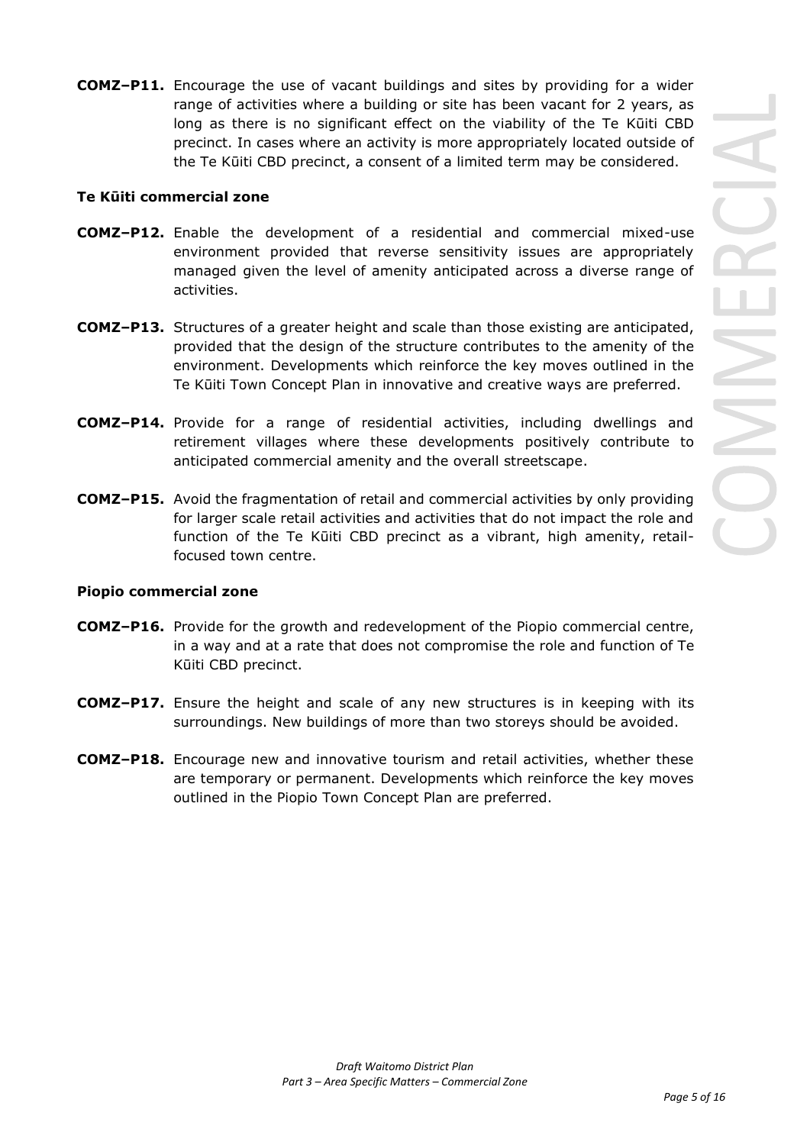**COMZ–P11.** Encourage the use of vacant buildings and sites by providing for a wider range of activities where a building or site has been vacant for 2 years, as long as there is no significant effect on the viability of the Te Kūiti CBD precinct. In cases where an activity is more appropriately located outside of the Te Kūiti CBD precinct, a consent of a limited term may be considered.

### **Te Kūiti commercial zone**

- **COMZ–P12.** Enable the development of a residential and commercial mixed-use environment provided that reverse sensitivity issues are appropriately managed given the level of amenity anticipated across a diverse range of activities.
- **COMZ–P13.** Structures of a greater height and scale than those existing are anticipated, provided that the design of the structure contributes to the amenity of the environment. Developments which reinforce the key moves outlined in the Te Kūiti Town Concept Plan in innovative and creative ways are preferred.
- **COMZ–P14.** Provide for a range of residential activities, including dwellings and retirement villages where these developments positively contribute to anticipated commercial amenity and the overall streetscape.
- **COMZ–P15.** Avoid the fragmentation of retail and commercial activities by only providing for larger scale retail activities and activities that do not impact the role and function of the Te Kūiti CBD precinct as a vibrant, high amenity, retailfocused town centre.

### **Piopio commercial zone**

- **COMZ–P16.** Provide for the growth and redevelopment of the Piopio commercial centre, in a way and at a rate that does not compromise the role and function of Te Kūiti CBD precinct.
- **COMZ–P17.** Ensure the height and scale of any new structures is in keeping with its surroundings. New buildings of more than two storeys should be avoided.
- **COMZ–P18.** Encourage new and innovative tourism and retail activities, whether these are temporary or permanent. Developments which reinforce the key moves outlined in the Piopio Town Concept Plan are preferred.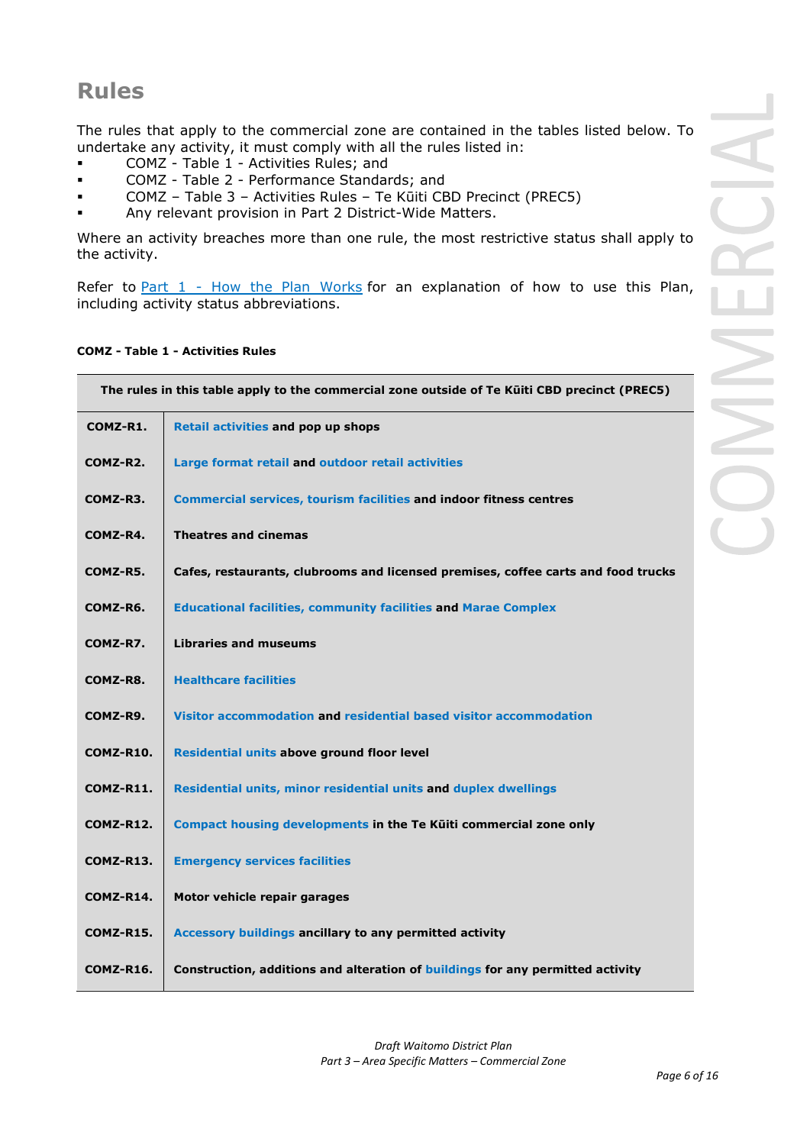# **Rules**

The rules that apply to the commercial zone are contained in the tables listed below. To undertake any activity, it must comply with all the rules listed in:

- COMZ Table 1 Activities Rules; and
- COMZ Table 2 Performance Standards; and
- COMZ Table 3 Activities Rules Te Kūiti CBD Precinct (PREC5)
- Any relevant provision in Part 2 District-Wide Matters.

Where an activity breaches more than one rule, the most restrictive status shall apply to the activity.

Refer to **[Part 1](javascript:void(0)) - How the Plan Works** for an explanation of how to use this Plan, including activity status abbreviations.

### **COMZ - Table 1 - Activities Rules**

| The rules in this table apply to the commercial zone outside of Te Kūiti CBD precinct (PREC5) |                                                                                   |
|-----------------------------------------------------------------------------------------------|-----------------------------------------------------------------------------------|
| COMZ-R1.                                                                                      | <b>Retail activities and pop up shops</b>                                         |
| COMZ-R2.                                                                                      | Large format retail and outdoor retail activities                                 |
| COMZ-R3.                                                                                      | <b>Commercial services, tourism facilities and indoor fitness centres</b>         |
| COMZ-R4.                                                                                      | <b>Theatres and cinemas</b>                                                       |
| COMZ-R5.                                                                                      | Cafes, restaurants, clubrooms and licensed premises, coffee carts and food trucks |
| COMZ-R6.                                                                                      | <b>Educational facilities, community facilities and Marae Complex</b>             |
| COMZ-R7.                                                                                      | <b>Libraries and museums</b>                                                      |
| COMZ-R8.                                                                                      | <b>Healthcare facilities</b>                                                      |
| COMZ-R9.                                                                                      | Visitor accommodation and residential based visitor accommodation                 |
| COMZ-R10.                                                                                     | Residential units above ground floor level                                        |
| <b>COMZ-R11.</b>                                                                              | Residential units, minor residential units and duplex dwellings                   |
| <b>COMZ-R12.</b>                                                                              | Compact housing developments in the Te Kūiti commercial zone only                 |
| COMZ-R13.                                                                                     | <b>Emergency services facilities</b>                                              |
| COMZ-R14.                                                                                     | Motor vehicle repair garages                                                      |
| <b>COMZ-R15.</b>                                                                              | Accessory buildings ancillary to any permitted activity                           |
| <b>COMZ-R16.</b>                                                                              | Construction, additions and alteration of buildings for any permitted activity    |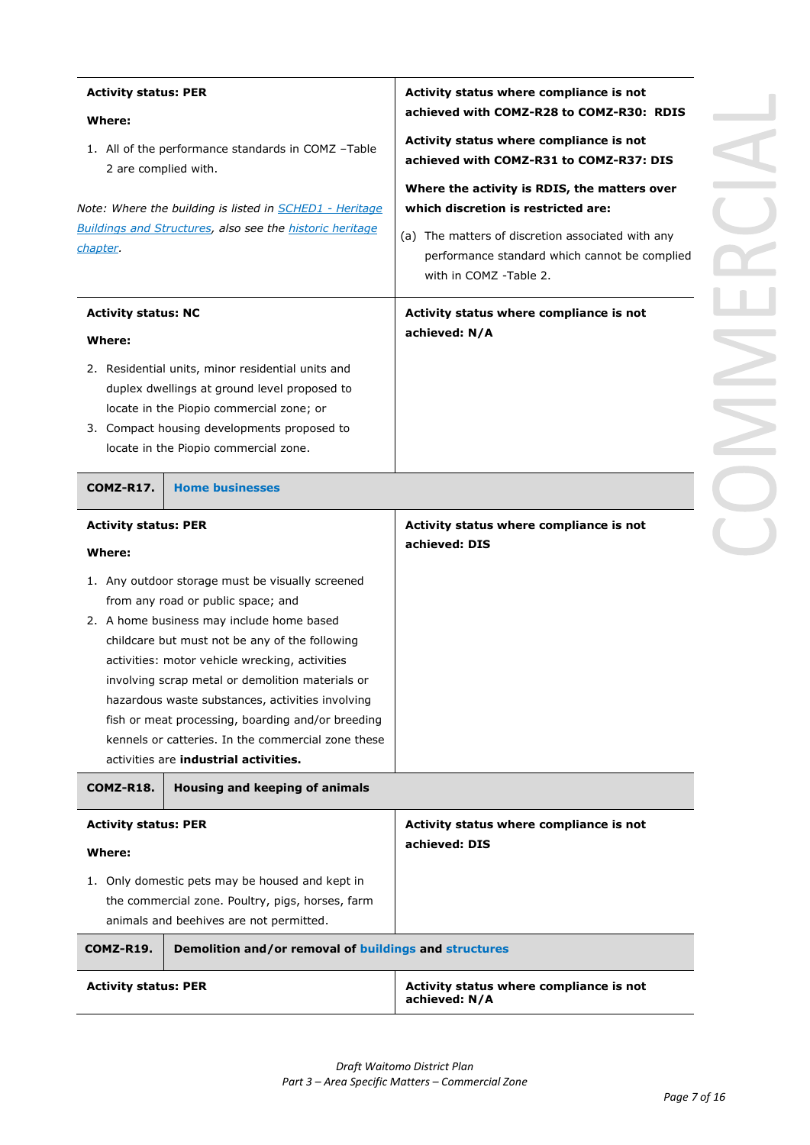| <b>Activity status: PER</b>                                                                                                                                                             |                                                                                                                                                                                                                                                                                                                                                                                                                                                                                                     | Activity status where compliance is not<br>achieved with COMZ-R28 to COMZ-R30: RDIS                                                                                       |  |
|-----------------------------------------------------------------------------------------------------------------------------------------------------------------------------------------|-----------------------------------------------------------------------------------------------------------------------------------------------------------------------------------------------------------------------------------------------------------------------------------------------------------------------------------------------------------------------------------------------------------------------------------------------------------------------------------------------------|---------------------------------------------------------------------------------------------------------------------------------------------------------------------------|--|
| Where:<br>2 are complied with.                                                                                                                                                          | 1. All of the performance standards in COMZ -Table<br>Note: Where the building is listed in <b>SCHED1 - Heritage</b>                                                                                                                                                                                                                                                                                                                                                                                | Activity status where compliance is not<br>achieved with COMZ-R31 to COMZ-R37: DIS<br>Where the activity is RDIS, the matters over<br>which discretion is restricted are: |  |
| chapter.                                                                                                                                                                                | <b>Buildings and Structures, also see the historic heritage</b>                                                                                                                                                                                                                                                                                                                                                                                                                                     | (a) The matters of discretion associated with any<br>performance standard which cannot be complied<br>with in COMZ -Table 2.                                              |  |
| <b>Activity status: NC</b><br>Where:                                                                                                                                                    |                                                                                                                                                                                                                                                                                                                                                                                                                                                                                                     | Activity status where compliance is not<br>achieved: N/A                                                                                                                  |  |
|                                                                                                                                                                                         | 2. Residential units, minor residential units and<br>duplex dwellings at ground level proposed to<br>locate in the Piopio commercial zone; or<br>3. Compact housing developments proposed to<br>locate in the Piopio commercial zone.                                                                                                                                                                                                                                                               |                                                                                                                                                                           |  |
| COMZ-R17.                                                                                                                                                                               | <b>Home businesses</b>                                                                                                                                                                                                                                                                                                                                                                                                                                                                              |                                                                                                                                                                           |  |
| <b>Activity status: PER</b><br>Where:                                                                                                                                                   |                                                                                                                                                                                                                                                                                                                                                                                                                                                                                                     | Activity status where compliance is not<br>achieved: DIS                                                                                                                  |  |
|                                                                                                                                                                                         | 1. Any outdoor storage must be visually screened<br>from any road or public space; and<br>2. A home business may include home based<br>childcare but must not be any of the following<br>activities: motor vehicle wrecking, activities<br>involving scrap metal or demolition materials or<br>hazardous waste substances, activities involving<br>fish or meat processing, boarding and/or breeding<br>kennels or catteries. In the commercial zone these<br>activities are industrial activities. |                                                                                                                                                                           |  |
| COMZ-R18.                                                                                                                                                                               | Housing and keeping of animals                                                                                                                                                                                                                                                                                                                                                                                                                                                                      |                                                                                                                                                                           |  |
| <b>Activity status: PER</b><br>Where:<br>1. Only domestic pets may be housed and kept in<br>the commercial zone. Poultry, pigs, horses, farm<br>animals and beehives are not permitted. |                                                                                                                                                                                                                                                                                                                                                                                                                                                                                                     | Activity status where compliance is not<br>achieved: DIS                                                                                                                  |  |
| COMZ-R19.                                                                                                                                                                               | Demolition and/or removal of buildings and structures                                                                                                                                                                                                                                                                                                                                                                                                                                               |                                                                                                                                                                           |  |
| <b>Activity status: PER</b>                                                                                                                                                             |                                                                                                                                                                                                                                                                                                                                                                                                                                                                                                     | Activity status where compliance is not<br>achieved: N/A                                                                                                                  |  |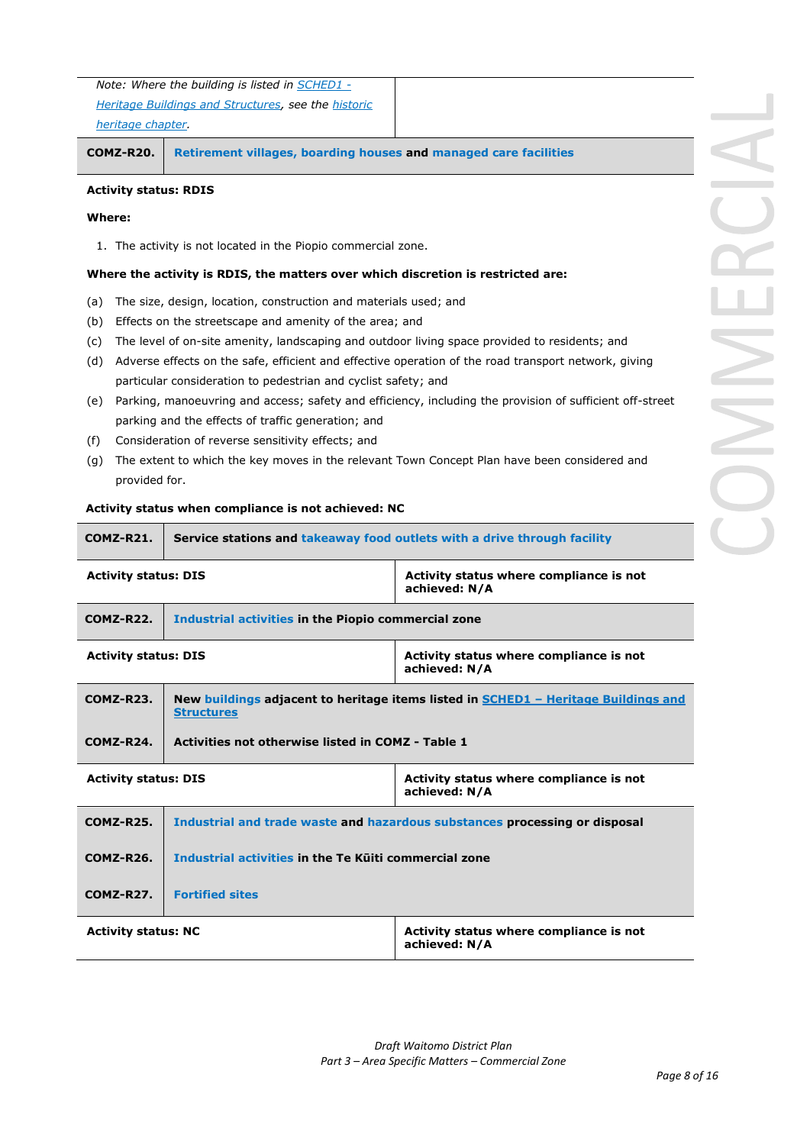| Note: Where the building is listed in SCHED1 -             |
|------------------------------------------------------------|
| <b>Heritage Buildings and Structures, see the historic</b> |
| heritage chapter.                                          |

**COMZ-R20. Retirement villages, boarding houses and managed care facilities**

#### **Activity status: RDIS**

### **Where:**

1. The activity is not located in the Piopio commercial zone.

#### **Where the activity is RDIS, the matters over which discretion is restricted are:**

- (a) The size, design, location, construction and materials used; and
- (b) Effects on the streetscape and amenity of the area; and
- (c) The level of on-site amenity, landscaping and outdoor living space provided to residents; and
- (d) Adverse effects on the safe, efficient and effective operation of the road transport network, giving particular consideration to pedestrian and cyclist safety; and
- (e) Parking, manoeuvring and access; safety and efficiency, including the provision of sufficient off-street parking and the effects of traffic generation; and
- (f) Consideration of reverse sensitivity effects; and
- (g) The extent to which the key moves in the relevant Town Concept Plan have been considered and provided for.

#### **Activity status when compliance is not achieved: NC**

| COMZ-R21.                                                                              | Service stations and takeaway food outlets with a drive through facility                                |  |
|----------------------------------------------------------------------------------------|---------------------------------------------------------------------------------------------------------|--|
|                                                                                        | <b>Activity status: DIS</b><br>Activity status where compliance is not<br>achieved: N/A                 |  |
| <b>COMZ-R22.</b>                                                                       | Industrial activities in the Piopio commercial zone                                                     |  |
|                                                                                        | <b>Activity status: DIS</b><br>Activity status where compliance is not<br>achieved: N/A                 |  |
| <b>COMZ-R23.</b>                                                                       | New buildings adjacent to heritage items listed in SCHED1 - Heritage Buildings and<br><b>Structures</b> |  |
| <b>COMZ-R24.</b>                                                                       | Activities not otherwise listed in COMZ - Table 1                                                       |  |
|                                                                                        | Activity status where compliance is not<br><b>Activity status: DIS</b><br>achieved: N/A                 |  |
| <b>COMZ-R25.</b>                                                                       | Industrial and trade waste and hazardous substances processing or disposal                              |  |
| <b>COMZ-R26.</b>                                                                       | Industrial activities in the Te Külti commercial zone                                                   |  |
| COMZ-R27.                                                                              | <b>Fortified sites</b>                                                                                  |  |
| Activity status where compliance is not<br><b>Activity status: NC</b><br>achieved: N/A |                                                                                                         |  |
|                                                                                        |                                                                                                         |  |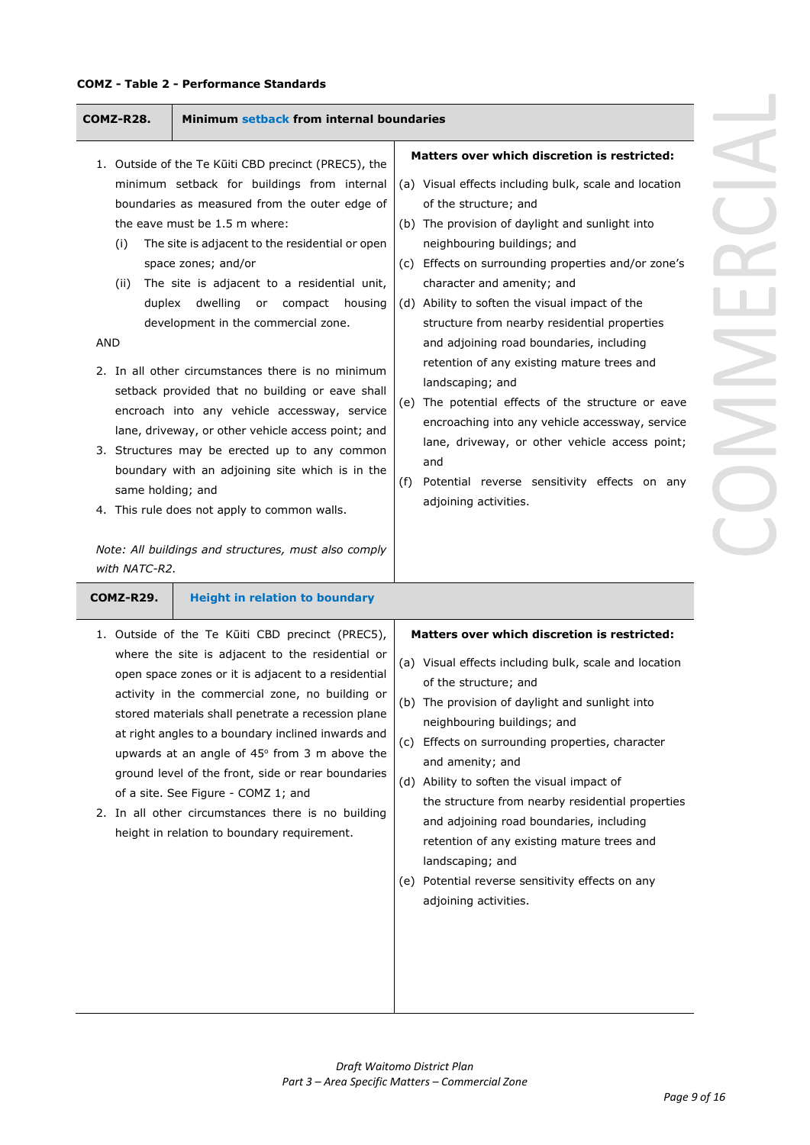### **COMZ - Table 2 - Performance Standards**

| COMZ-R28.                                                                 | Minimum setback from internal boundaries                                                                                                                                                                                                                                                                                                                                                                                                                                                                                                                                                                                                                                                                                                                                                                                |                                                                                                                                                                                                                                                                                                                                                                                                                                                                                                                                                                                                                                                                                                                                                                         |
|---------------------------------------------------------------------------|-------------------------------------------------------------------------------------------------------------------------------------------------------------------------------------------------------------------------------------------------------------------------------------------------------------------------------------------------------------------------------------------------------------------------------------------------------------------------------------------------------------------------------------------------------------------------------------------------------------------------------------------------------------------------------------------------------------------------------------------------------------------------------------------------------------------------|-------------------------------------------------------------------------------------------------------------------------------------------------------------------------------------------------------------------------------------------------------------------------------------------------------------------------------------------------------------------------------------------------------------------------------------------------------------------------------------------------------------------------------------------------------------------------------------------------------------------------------------------------------------------------------------------------------------------------------------------------------------------------|
| (i)<br>(ii)<br>duplex<br><b>AND</b><br>same holding; and<br>with NATC-R2. | 1. Outside of the Te Kūiti CBD precinct (PREC5), the<br>minimum setback for buildings from internal<br>boundaries as measured from the outer edge of<br>the eave must be 1.5 m where:<br>The site is adjacent to the residential or open<br>space zones; and/or<br>The site is adjacent to a residential unit,<br>dwelling<br>compact<br>or<br>housing<br>development in the commercial zone.<br>2. In all other circumstances there is no minimum<br>setback provided that no building or eave shall<br>encroach into any vehicle accessway, service<br>lane, driveway, or other vehicle access point; and<br>3. Structures may be erected up to any common<br>boundary with an adjoining site which is in the<br>4. This rule does not apply to common walls.<br>Note: All buildings and structures, must also comply | Matters over which discretion is restricted:<br>(a) Visual effects including bulk, scale and location<br>of the structure; and<br>(b) The provision of daylight and sunlight into<br>neighbouring buildings; and<br>(c) Effects on surrounding properties and/or zone's<br>character and amenity; and<br>(d) Ability to soften the visual impact of the<br>structure from nearby residential properties<br>and adjoining road boundaries, including<br>retention of any existing mature trees and<br>landscaping; and<br>(e) The potential effects of the structure or eave<br>encroaching into any vehicle accessway, service<br>lane, driveway, or other vehicle access point;<br>and<br>Potential reverse sensitivity effects on any<br>(f)<br>adjoining activities. |
| COMZ-R29.                                                                 | <b>Height in relation to boundary</b><br>1. Outside of the Te Kūiti CBD precinct (PREC5),<br>where the site is adjacent to the residential or<br>open space zones or it is adjacent to a residential<br>activity in the commercial zone, no building or<br>stored materials shall penetrate a recession plane<br>at right angles to a boundary inclined inwards and<br>upwards at an angle of 45° from 3 m above the<br>ground level of the front, side or rear boundaries<br>of a site. See Figure - COMZ 1; and<br>2. In all other circumstances there is no building<br>height in relation to boundary requirement.                                                                                                                                                                                                  | <b>Matters over which discretion is restricted:</b><br>(a) Visual effects including bulk, scale and location<br>of the structure; and<br>(b) The provision of daylight and sunlight into<br>neighbouring buildings; and<br>(c) Effects on surrounding properties, character<br>and amenity; and<br>(d) Ability to soften the visual impact of<br>the structure from nearby residential properties<br>and adjoining road boundaries, including<br>retention of any existing mature trees and<br>landscaping; and<br>(e) Potential reverse sensitivity effects on any<br>adjoining activities.                                                                                                                                                                            |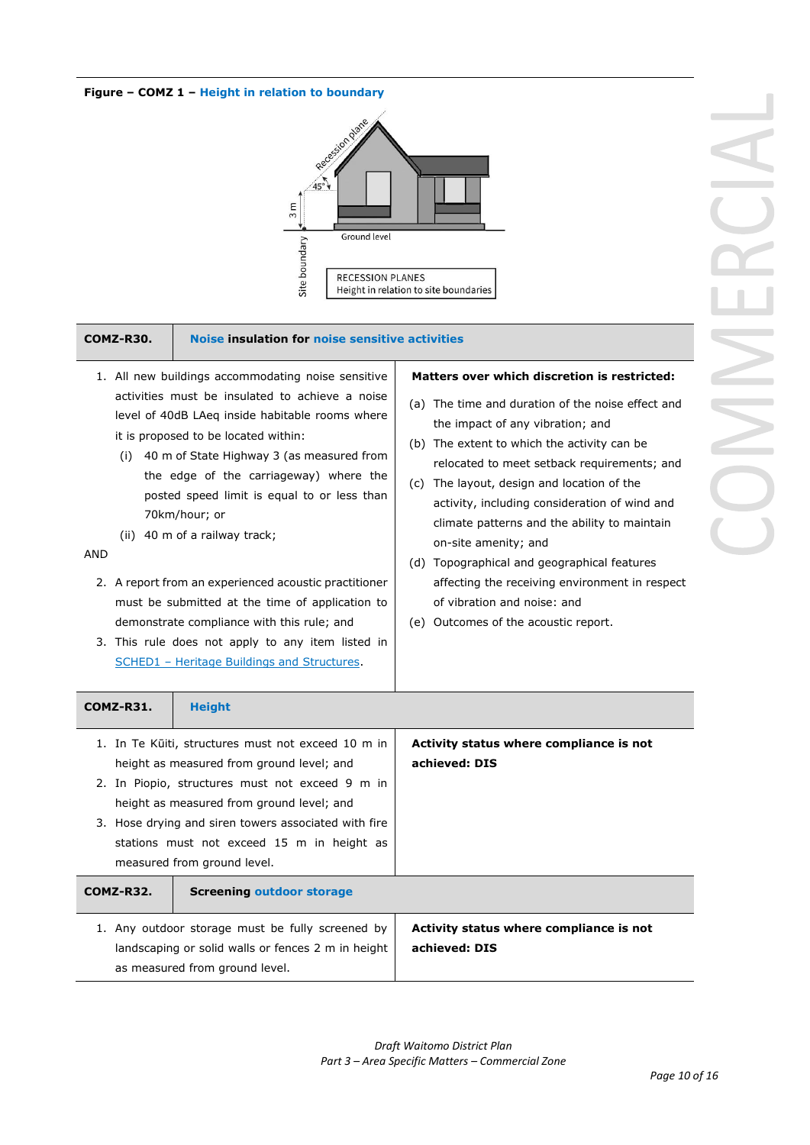### **Figure – COMZ 1 – Height in relation to boundary**



#### **COMZ-R30. Noise insulation for noise sensitive activities**

- 1. All new buildings accommodating noise sensitive activities must be insulated to achieve a noise level of 40dB LAeq inside habitable rooms where it is proposed to be located within:
	- (i) 40 m of State Highway 3 (as measured from the edge of the carriageway) where the posted speed limit is equal to or less than 70km/hour; or
	- (ii) 40 m of a railway track;

### AND

- 2. A report from an experienced acoustic practitioner must be submitted at the time of application to demonstrate compliance with this rule; and
- 3. This rule does not apply to any item listed in SCHED1 - Heritage Buildings and Structures.

#### **Matters over which discretion is restricted:**

- (a) The time and duration of the noise effect and the impact of any vibration; and
- (b) The extent to which the activity can be relocated to meet setback requirements; and
- (c) The layout, design and location of the activity, including consideration of wind and climate patterns and the ability to maintain on-site amenity; and
- (d) Topographical and geographical features affecting the receiving environment in respect of vibration and noise: and
- (e) Outcomes of the acoustic report.

| <b>COMZ-R31.</b> | <b>Height</b>                                                                                                                                                                                                                                                                                                                        |                                                          |
|------------------|--------------------------------------------------------------------------------------------------------------------------------------------------------------------------------------------------------------------------------------------------------------------------------------------------------------------------------------|----------------------------------------------------------|
|                  | 1. In Te Kūiti, structures must not exceed 10 m in<br>height as measured from ground level; and<br>2. In Piopio, structures must not exceed 9 m in<br>height as measured from ground level; and<br>3. Hose drying and siren towers associated with fire<br>stations must not exceed 15 m in height as<br>measured from ground level. | Activity status where compliance is not<br>achieved: DIS |
| <b>COMZ-R32.</b> | <b>Screening outdoor storage</b>                                                                                                                                                                                                                                                                                                     |                                                          |
|                  | 1. Any outdoor storage must be fully screened by<br>landscaping or solid walls or fences 2 m in height<br>as measured from ground level.                                                                                                                                                                                             | Activity status where compliance is not<br>achieved: DIS |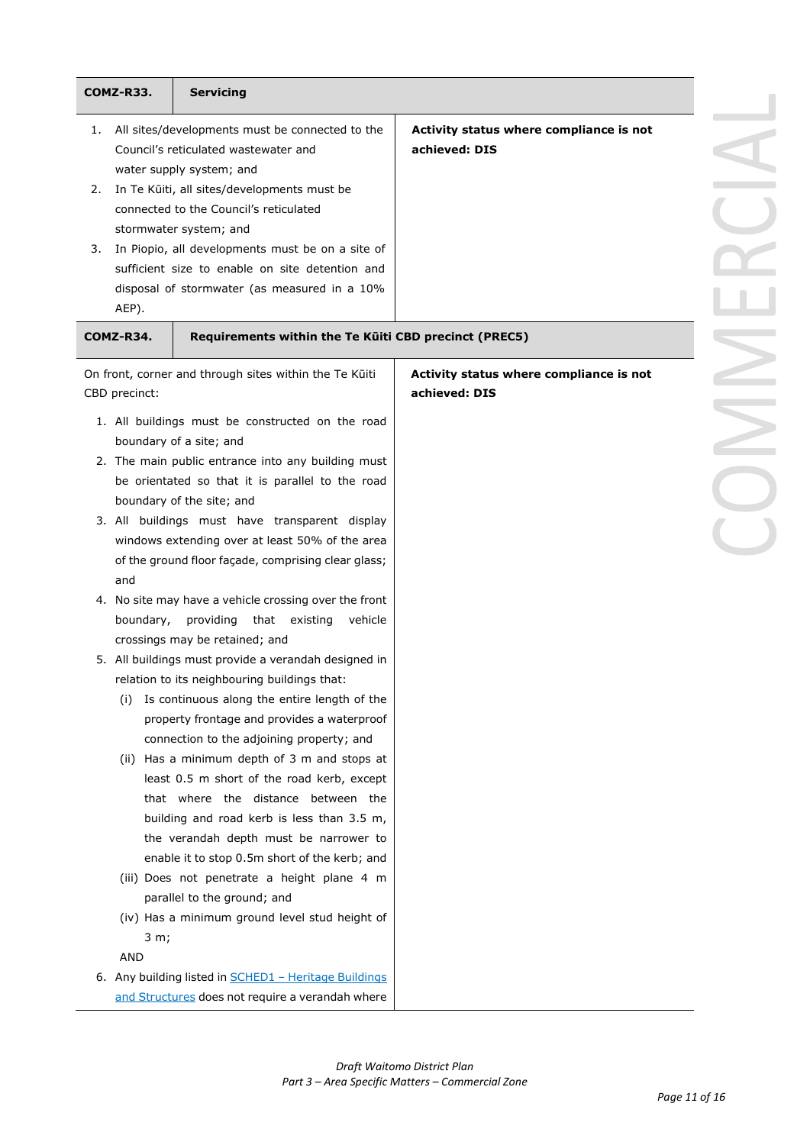|    | COMZ-R33.     | <b>Servicing</b>                                                                               |                                         |
|----|---------------|------------------------------------------------------------------------------------------------|-----------------------------------------|
| 1. |               | All sites/developments must be connected to the                                                | Activity status where compliance is not |
|    |               | Council's reticulated wastewater and                                                           | achieved: DIS                           |
|    |               | water supply system; and                                                                       |                                         |
| 2. |               | In Te Kūiti, all sites/developments must be                                                    |                                         |
|    |               | connected to the Council's reticulated                                                         |                                         |
|    |               | stormwater system; and                                                                         |                                         |
| 3. |               | In Piopio, all developments must be on a site of                                               |                                         |
|    |               | sufficient size to enable on site detention and                                                |                                         |
|    |               | disposal of stormwater (as measured in a 10%                                                   |                                         |
|    | AEP).         |                                                                                                |                                         |
|    | COMZ-R34.     | Requirements within the Te Küiti CBD precinct (PREC5)                                          |                                         |
|    |               | On front, corner and through sites within the Te Kūiti                                         | Activity status where compliance is not |
|    | CBD precinct: |                                                                                                | achieved: DIS                           |
|    |               | 1. All buildings must be constructed on the road                                               |                                         |
|    |               | boundary of a site; and                                                                        |                                         |
|    |               | 2. The main public entrance into any building must                                             |                                         |
|    |               | be orientated so that it is parallel to the road                                               |                                         |
|    |               | boundary of the site; and                                                                      |                                         |
|    |               | 3. All buildings must have transparent display                                                 |                                         |
|    |               | windows extending over at least 50% of the area                                                |                                         |
|    |               | of the ground floor façade, comprising clear glass;                                            |                                         |
|    | and           |                                                                                                |                                         |
|    | boundary,     | 4. No site may have a vehicle crossing over the front<br>that existing<br>providing<br>vehicle |                                         |
|    |               | crossings may be retained; and                                                                 |                                         |
|    |               | 5. All buildings must provide a verandah designed in                                           |                                         |
|    |               | relation to its neighbouring buildings that:                                                   |                                         |
|    | (i)           | Is continuous along the entire length of the                                                   |                                         |
|    |               | property frontage and provides a waterproof                                                    |                                         |
|    |               | connection to the adjoining property; and                                                      |                                         |
|    |               | (ii) Has a minimum depth of 3 m and stops at                                                   |                                         |
|    |               | least 0.5 m short of the road kerb, except                                                     |                                         |
|    |               | that where the distance between the                                                            |                                         |
|    |               | building and road kerb is less than 3.5 m,                                                     |                                         |
|    |               | the verandah depth must be narrower to                                                         |                                         |
|    |               | enable it to stop 0.5m short of the kerb; and                                                  |                                         |
|    |               | (iii) Does not penetrate a height plane 4 m                                                    |                                         |
|    |               | parallel to the ground; and                                                                    |                                         |
|    |               | (iv) Has a minimum ground level stud height of                                                 |                                         |
|    | 3 m;          |                                                                                                |                                         |
|    | AND           |                                                                                                |                                         |
|    |               | 6. Any building listed in <b>SCHED1</b> - Heritage Buildings                                   |                                         |
|    |               | and Structures does not require a verandah where                                               |                                         |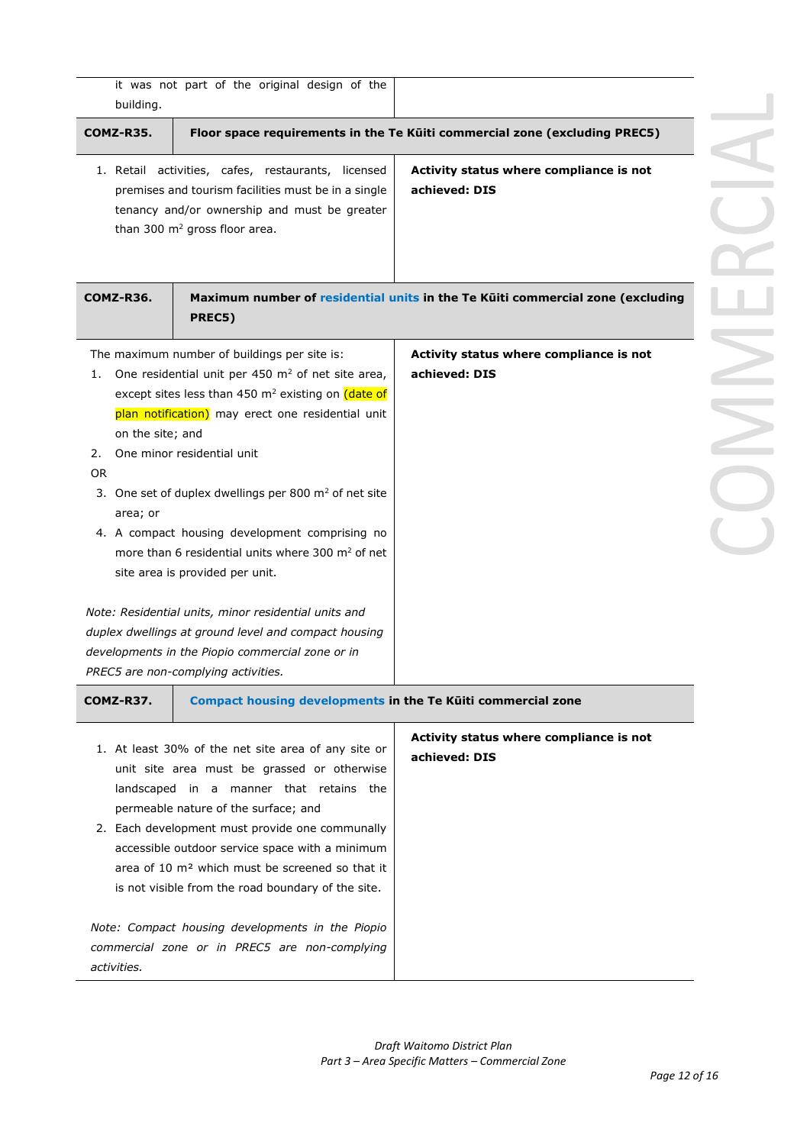| building.                                             | it was not part of the original design of the                                                                                                                                                                                                                                                                                                                                                                                                                                                                                                                                                                                                                                        |                                                                                |
|-------------------------------------------------------|--------------------------------------------------------------------------------------------------------------------------------------------------------------------------------------------------------------------------------------------------------------------------------------------------------------------------------------------------------------------------------------------------------------------------------------------------------------------------------------------------------------------------------------------------------------------------------------------------------------------------------------------------------------------------------------|--------------------------------------------------------------------------------|
| <b>COMZ-R35.</b>                                      |                                                                                                                                                                                                                                                                                                                                                                                                                                                                                                                                                                                                                                                                                      | Floor space requirements in the Te Küiti commercial zone (excluding PREC5)     |
|                                                       | 1. Retail activities, cafes, restaurants, licensed<br>premises and tourism facilities must be in a single<br>tenancy and/or ownership and must be greater<br>than 300 m <sup>2</sup> gross floor area.                                                                                                                                                                                                                                                                                                                                                                                                                                                                               | Activity status where compliance is not<br>achieved: DIS                       |
| COMZ-R36.                                             | PREC5)                                                                                                                                                                                                                                                                                                                                                                                                                                                                                                                                                                                                                                                                               | Maximum number of residential units in the Te Küiti commercial zone (excluding |
| 1.<br>on the site; and<br>2.<br><b>OR</b><br>area; or | The maximum number of buildings per site is:<br>One residential unit per 450 $m2$ of net site area,<br>except sites less than 450 m <sup>2</sup> existing on (date of<br>plan notification) may erect one residential unit<br>One minor residential unit<br>3. One set of duplex dwellings per 800 $m2$ of net site<br>4. A compact housing development comprising no<br>more than 6 residential units where 300 m <sup>2</sup> of net<br>site area is provided per unit.<br>Note: Residential units, minor residential units and<br>duplex dwellings at ground level and compact housing<br>developments in the Piopio commercial zone or in<br>PREC5 are non-complying activities. | Activity status where compliance is not<br>achieved: DIS                       |
| COMZ-R37.                                             | Compact housing developments in the Te Kūiti commercial zone                                                                                                                                                                                                                                                                                                                                                                                                                                                                                                                                                                                                                         |                                                                                |
|                                                       | 1. At least 30% of the net site area of any site or<br>unit site area must be grassed or otherwise<br>landscaped in a manner that retains the<br>permeable nature of the surface; and<br>2. Each development must provide one communally<br>accessible outdoor service space with a minimum<br>area of 10 m <sup>2</sup> which must be screened so that it<br>is not visible from the road boundary of the site.                                                                                                                                                                                                                                                                     | Activity status where compliance is not<br>achieved: DIS                       |
| activities.                                           | Note: Compact housing developments in the Piopio<br>commercial zone or in PREC5 are non-complying                                                                                                                                                                                                                                                                                                                                                                                                                                                                                                                                                                                    |                                                                                |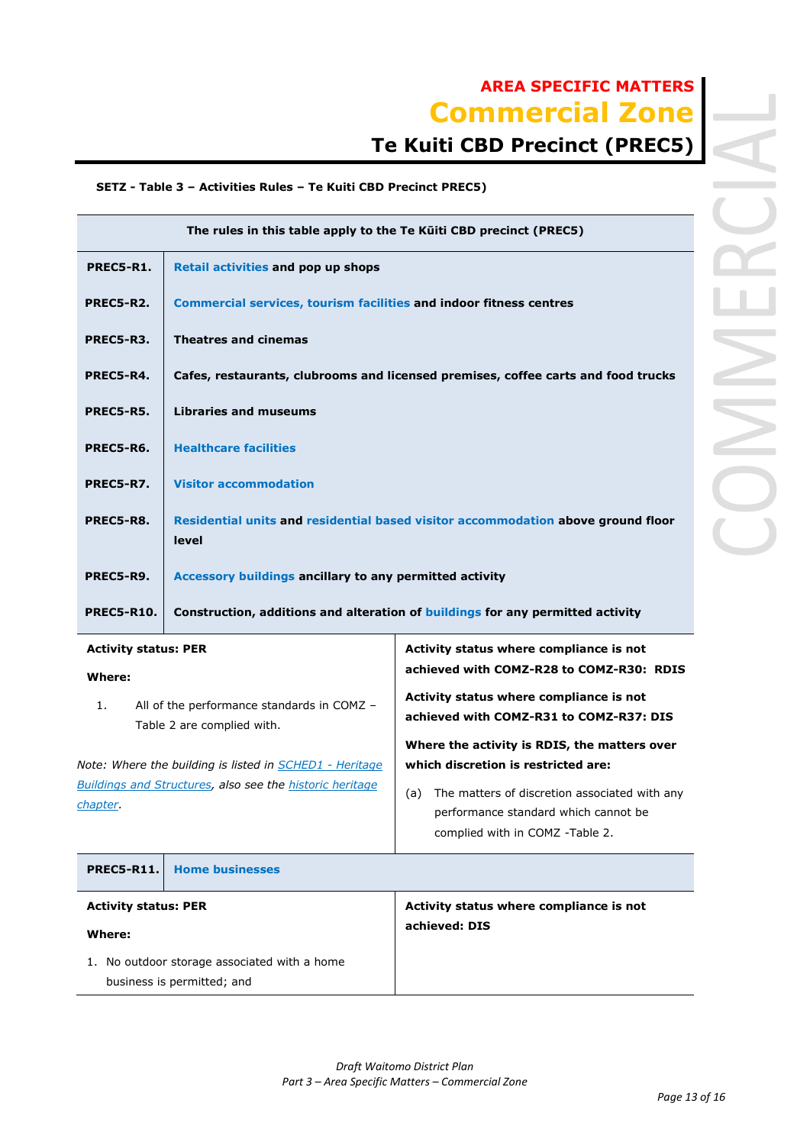# **Te Kuiti CBD Precinct (PREC5)**

### **SETZ - Table 3 – Activities Rules – Te Kuiti CBD Precinct PREC5)**

| The rules in this table apply to the Te Küiti CBD precinct (PREC5)                                     |                                                                                              |  |
|--------------------------------------------------------------------------------------------------------|----------------------------------------------------------------------------------------------|--|
| <b>Retail activities and pop up shops</b>                                                              |                                                                                              |  |
| <b>Commercial services, tourism facilities and indoor fitness centres</b>                              |                                                                                              |  |
| <b>Theatres and cinemas</b>                                                                            |                                                                                              |  |
| Cafes, restaurants, clubrooms and licensed premises, coffee carts and food trucks                      |                                                                                              |  |
| <b>Libraries and museums</b>                                                                           |                                                                                              |  |
| <b>Healthcare facilities</b>                                                                           |                                                                                              |  |
| <b>Visitor accommodation</b>                                                                           |                                                                                              |  |
| Residential units and residential based visitor accommodation above ground floor<br>level              |                                                                                              |  |
| Accessory buildings ancillary to any permitted activity                                                |                                                                                              |  |
| <b>PREC5-R10.</b><br>Construction, additions and alteration of buildings for any permitted activity    |                                                                                              |  |
| <b>Activity status: PER</b><br>Activity status where compliance is not                                 |                                                                                              |  |
|                                                                                                        | achieved with COMZ-R28 to COMZ-R30: RDIS                                                     |  |
| Activity status where compliance is not<br>All of the performance standards in COMZ -<br>1.            |                                                                                              |  |
|                                                                                                        | achieved with COMZ-R31 to COMZ-R37: DIS                                                      |  |
| Where the activity is RDIS, the matters over                                                           |                                                                                              |  |
| which discretion is restricted are:<br><b>Buildings and Structures, also see the historic heritage</b> |                                                                                              |  |
|                                                                                                        | Table 2 are complied with.<br>Note: Where the building is listed in <b>SCHED1</b> - Heritage |  |

(a) The matters of discretion associated with any performance standard which cannot be complied with in COMZ -Table 2.

| <b>PREC5-R11.</b>                            | <b>Home businesses</b> |                                         |
|----------------------------------------------|------------------------|-----------------------------------------|
| <b>Activity status: PER</b>                  |                        | Activity status where compliance is not |
| Where:                                       |                        | achieved: DIS                           |
| 1. No outdoor storage associated with a home |                        |                                         |
| business is permitted; and                   |                        |                                         |

*chapter.*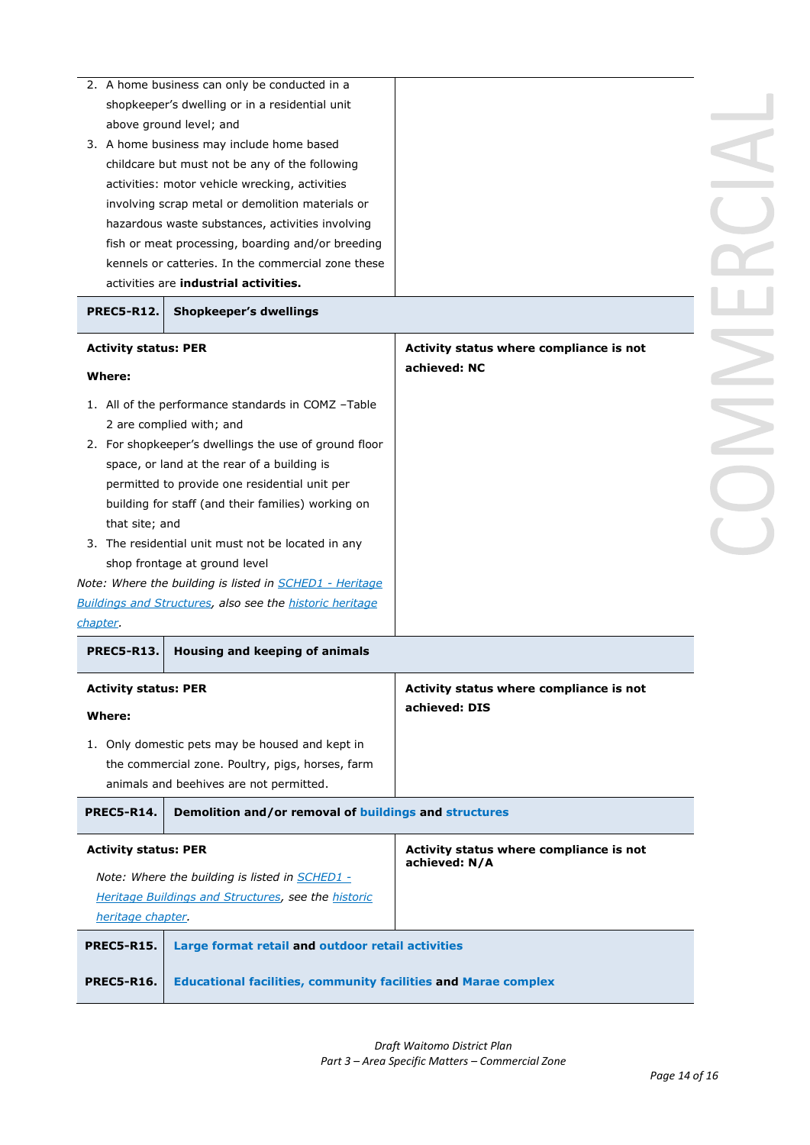|                             | 2. A home business can only be conducted in a                         |                                         |  |
|-----------------------------|-----------------------------------------------------------------------|-----------------------------------------|--|
|                             | shopkeeper's dwelling or in a residential unit                        |                                         |  |
|                             | above ground level; and                                               |                                         |  |
|                             | 3. A home business may include home based                             |                                         |  |
|                             | childcare but must not be any of the following                        |                                         |  |
|                             | activities: motor vehicle wrecking, activities                        |                                         |  |
|                             | involving scrap metal or demolition materials or                      |                                         |  |
|                             |                                                                       |                                         |  |
|                             | hazardous waste substances, activities involving                      |                                         |  |
|                             | fish or meat processing, boarding and/or breeding                     |                                         |  |
|                             | kennels or catteries. In the commercial zone these                    |                                         |  |
|                             | activities are <b>industrial activities.</b>                          |                                         |  |
| <b>PREC5-R12.</b>           | <b>Shopkeeper's dwellings</b>                                         |                                         |  |
| <b>Activity status: PER</b> |                                                                       | Activity status where compliance is not |  |
| Where:                      |                                                                       | achieved: NC                            |  |
|                             |                                                                       |                                         |  |
|                             | 1. All of the performance standards in COMZ -Table                    |                                         |  |
|                             | 2 are complied with; and                                              |                                         |  |
|                             | 2. For shopkeeper's dwellings the use of ground floor                 |                                         |  |
|                             | space, or land at the rear of a building is                           |                                         |  |
|                             | permitted to provide one residential unit per                         |                                         |  |
|                             | building for staff (and their families) working on                    |                                         |  |
| that site; and              |                                                                       |                                         |  |
|                             | 3. The residential unit must not be located in any                    |                                         |  |
|                             | shop frontage at ground level                                         |                                         |  |
|                             | Note: Where the building is listed in <b>SCHED1</b> - Heritage        |                                         |  |
|                             | <b>Buildings and Structures, also see the historic heritage</b>       |                                         |  |
| chapter.                    |                                                                       |                                         |  |
| <b>PREC5-R13.</b>           | Housing and keeping of animals                                        |                                         |  |
| <b>Activity status: PER</b> |                                                                       | Activity status where compliance is not |  |
|                             |                                                                       | achieved: DIS                           |  |
| Where:                      |                                                                       |                                         |  |
|                             | 1. Only domestic pets may be housed and kept in                       |                                         |  |
|                             | the commercial zone. Poultry, pigs, horses, farm                      |                                         |  |
|                             | animals and beehives are not permitted.                               |                                         |  |
| <b>PREC5-R14.</b>           | Demolition and/or removal of buildings and structures                 |                                         |  |
| <b>Activity status: PER</b> |                                                                       | Activity status where compliance is not |  |
|                             |                                                                       | achieved: N/A                           |  |
|                             | Note: Where the building is listed in <b>SCHED1</b> -                 |                                         |  |
|                             | Heritage Buildings and Structures, see the historic                   |                                         |  |
| heritage chapter.           |                                                                       |                                         |  |
| <b>PREC5-R15.</b>           | Large format retail and outdoor retail activities                     |                                         |  |
| <b>PREC5-R16.</b>           | <b>Educational facilities, community facilities and Marae complex</b> |                                         |  |
|                             |                                                                       |                                         |  |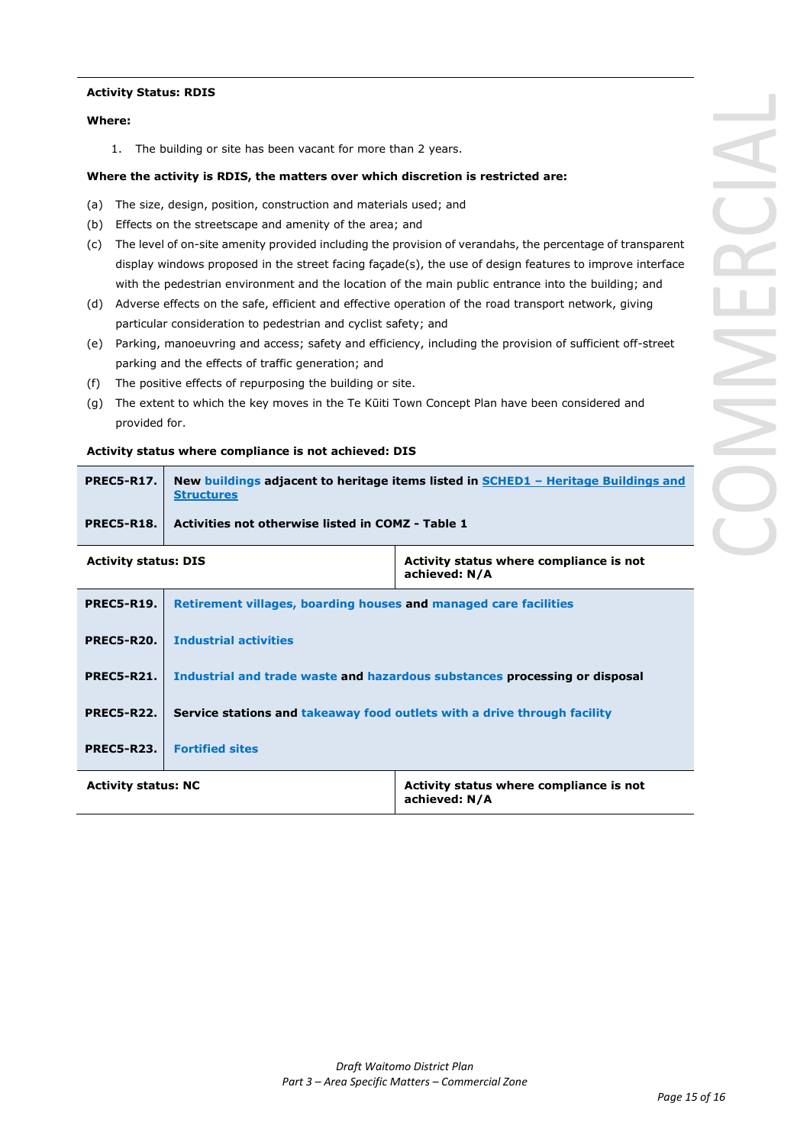#### **Activity Status: RDIS**

#### **Where:**

1. The building or site has been vacant for more than 2 years.

#### **Where the activity is RDIS, the matters over which discretion is restricted are:**

- (a) The size, design, position, construction and materials used; and
- (b) Effects on the streetscape and amenity of the area; and
- (c) The level of on-site amenity provided including the provision of verandahs, the percentage of transparent display windows proposed in the street facing façade(s), the use of design features to improve interface with the pedestrian environment and the location of the main public entrance into the building; and
- (d) Adverse effects on the safe, efficient and effective operation of the road transport network, giving particular consideration to pedestrian and cyclist safety; and
- (e) Parking, manoeuvring and access; safety and efficiency, including the provision of sufficient off-street parking and the effects of traffic generation; and
- (f) The positive effects of repurposing the building or site.
- (g) The extent to which the key moves in the Te Kūiti Town Concept Plan have been considered and provided for.

#### **Activity status where compliance is not achieved: DIS**

| <b>PREC5-R17.</b> | New buildings adjacent to heritage items listed in SCHED1 - Heritage Buildings and<br><b>Structures</b> |
|-------------------|---------------------------------------------------------------------------------------------------------|
| <b>PREC5-R18.</b> | Activities not otherwise listed in COMZ - Table 1                                                       |
|                   |                                                                                                         |

| <b>Activity status: DIS</b> |                                                                            | Activity status where compliance is not<br>achieved: N/A |
|-----------------------------|----------------------------------------------------------------------------|----------------------------------------------------------|
| <b>PREC5-R19.</b>           | Retirement villages, boarding houses and managed care facilities           |                                                          |
| <b>PREC5-R20.</b>           | <b>Industrial activities</b>                                               |                                                          |
| <b>PREC5-R21.</b>           | Industrial and trade waste and hazardous substances processing or disposal |                                                          |
| <b>PREC5-R22.</b>           | Service stations and takeaway food outlets with a drive through facility   |                                                          |
| <b>PREC5-R23.</b>           | <b>Fortified sites</b>                                                     |                                                          |
| <b>Activity status: NC</b>  |                                                                            | Activity status where compliance is not<br>achieved: N/A |